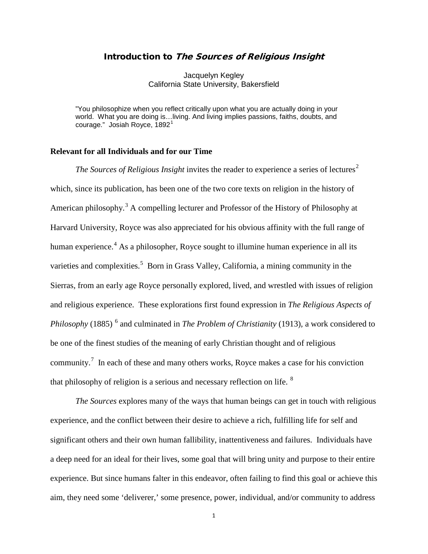# Introduction to The Sources of Religious Insight

Jacquelyn Kegley California State University, Bakersfield

"You philosophize when you reflect critically upon what you are actually doing in your world. What you are doing is…living. And living implies passions, faiths, doubts, and courage." Josiah Royce,  $1892<sup>1</sup>$  $1892<sup>1</sup>$ 

## **Relevant for all Individuals and for our Time**

*The Sources of Religious Insight* invites the reader to experience a series of lectures<sup>[2](#page-20-1)</sup> which, since its publication, has been one of the two core texts on religion in the history of American philosophy.<sup>[3](#page-20-2)</sup> A compelling lecturer and Professor of the History of Philosophy at Harvard University, Royce was also appreciated for his obvious affinity with the full range of human experience.<sup>[4](#page-20-3)</sup> As a philosopher, Royce sought to illumine human experience in all its varieties and complexities.<sup>[5](#page-20-4)</sup> Born in Grass Valley, California, a mining community in the Sierras, from an early age Royce personally explored, lived, and wrestled with issues of religion and religious experience. These explorations first found expression in *The Religious Aspects of Philosophy* (1885)<sup>[6](#page-20-5)</sup> and culminated in *The Problem of Christianity* (1913), a work considered to be one of the finest studies of the meaning of early Christian thought and of religious community.<sup>[7](#page-20-6)</sup> In each of these and many others works, Royce makes a case for his conviction that philosophy of religion is a serious and necessary reflection on life.  $8$ 

*The Sources* explores many of the ways that human beings can get in touch with religious experience, and the conflict between their desire to achieve a rich, fulfilling life for self and significant others and their own human fallibility, inattentiveness and failures. Individuals have a deep need for an ideal for their lives, some goal that will bring unity and purpose to their entire experience. But since humans falter in this endeavor, often failing to find this goal or achieve this aim, they need some 'deliverer,' some presence, power, individual, and/or community to address

1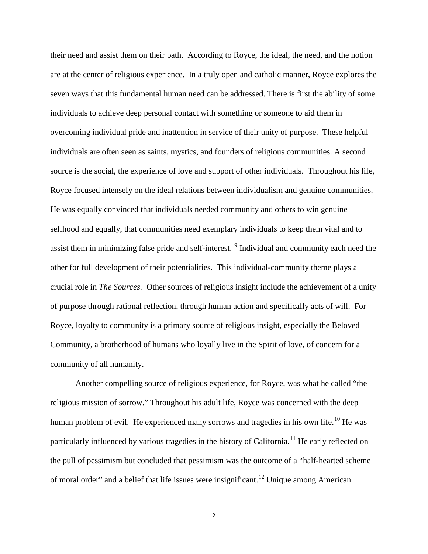their need and assist them on their path. According to Royce, the ideal, the need, and the notion are at the center of religious experience. In a truly open and catholic manner, Royce explores the seven ways that this fundamental human need can be addressed. There is first the ability of some individuals to achieve deep personal contact with something or someone to aid them in overcoming individual pride and inattention in service of their unity of purpose. These helpful individuals are often seen as saints, mystics, and founders of religious communities. A second source is the social, the experience of love and support of other individuals. Throughout his life, Royce focused intensely on the ideal relations between individualism and genuine communities. He was equally convinced that individuals needed community and others to win genuine selfhood and equally, that communities need exemplary individuals to keep them vital and to assist them in minimizing false pride and self-interest.<sup>[9](#page-21-0)</sup> Individual and community each need the other for full development of their potentialities. This individual-community theme plays a crucial role in *The Sources.* Other sources of religious insight include the achievement of a unity of purpose through rational reflection, through human action and specifically acts of will. For Royce, loyalty to community is a primary source of religious insight*,* especially the Beloved Community, a brotherhood of humans who loyally live in the Spirit of love, of concern for a community of all humanity.

Another compelling source of religious experience, for Royce, was what he called "the religious mission of sorrow." Throughout his adult life, Royce was concerned with the deep human problem of evil. He experienced many sorrows and tragedies in his own life.<sup>[10](#page-21-1)</sup> He was particularly influenced by various tragedies in the history of California.<sup>[11](#page-21-2)</sup> He early reflected on the pull of pessimism but concluded that pessimism was the outcome of a "half-hearted scheme of moral order" and a belief that life issues were insignificant.<sup>[12](#page-21-3)</sup> Unique among American

2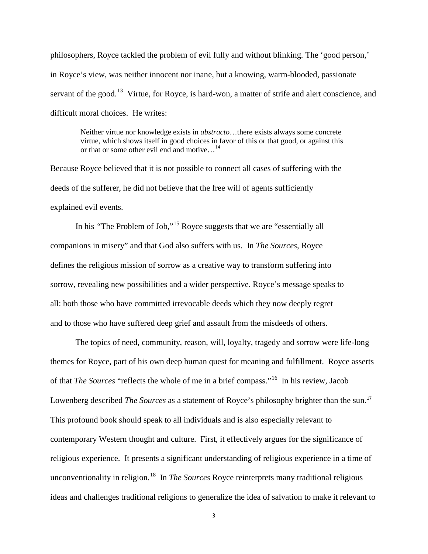philosophers, Royce tackled the problem of evil fully and without blinking. The 'good person,' in Royce's view, was neither innocent nor inane, but a knowing, warm-blooded, passionate servant of the good.<sup>[13](#page-22-0)</sup> Virtue, for Royce, is hard-won, a matter of strife and alert conscience, and difficult moral choices. He writes:

Neither virtue nor knowledge exists in *abstracto*…there exists always some concrete virtue, which shows itself in good choices in favor of this or that good, or against this or that or some other evil end and motive...<sup>[14](#page-22-1)</sup>

Because Royce believed that it is not possible to connect all cases of suffering with the deeds of the sufferer, he did not believe that the free will of agents sufficiently explained evil events.

In his "The Problem of Job,"<sup>[15](#page-22-2)</sup> Royce suggests that we are "essentially all companions in misery" and that God also suffers with us. In *The Sources,* Royce defines the religious mission of sorrow as a creative way to transform suffering into sorrow, revealing new possibilities and a wider perspective. Royce's message speaks to all: both those who have committed irrevocable deeds which they now deeply regret and to those who have suffered deep grief and assault from the misdeeds of others.

The topics of need, community, reason, will, loyalty, tragedy and sorrow were life-long themes for Royce, part of his own deep human quest for meaning and fulfillment. Royce asserts of that *The Sources* "reflects the whole of me in a brief compass."[16](#page-22-3) In his review*,* Jacob Lowenberg described *The Sources* as a statement of Royce's philosophy brighter than the sun. [17](#page-22-4) This profound book should speak to all individuals and is also especially relevant to contemporary Western thought and culture. First, it effectively argues for the significance of religious experience. It presents a significant understanding of religious experience in a time of unconventionality in religion.<sup>18</sup> In *The Sources* Royce reinterprets many traditional religious ideas and challenges traditional religions to generalize the idea of salvation to make it relevant to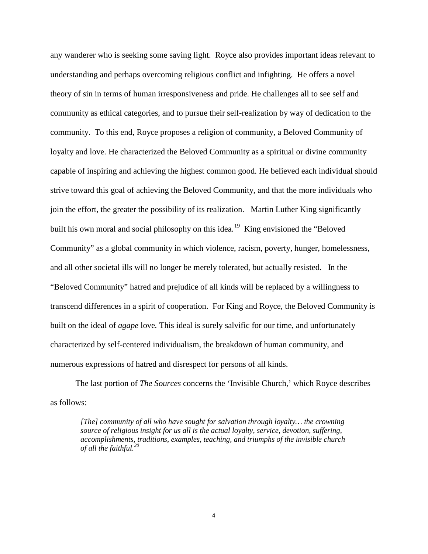any wanderer who is seeking some saving light. Royce also provides important ideas relevant to understanding and perhaps overcoming religious conflict and infighting. He offers a novel theory of sin in terms of human irresponsiveness and pride. He challenges all to see self and community as ethical categories, and to pursue their self-realization by way of dedication to the community. To this end, Royce proposes a religion of community, a Beloved Community of loyalty and love. He characterized the Beloved Community as a spiritual or divine community capable of inspiring and achieving the highest common good. He believed each individual should strive toward this goal of achieving the Beloved Community, and that the more individuals who join the effort, the greater the possibility of its realization. Martin Luther King significantly built his own moral and social philosophy on this idea.<sup>[19](#page-22-6)</sup> King envisioned the "Beloved" Community" as a global community in which violence, racism, poverty, hunger, homelessness, and all other societal ills will no longer be merely tolerated, but actually resisted. In the "Beloved Community" hatred and prejudice of all kinds will be replaced by a willingness to transcend differences in a spirit of cooperation. For King and Royce, the Beloved Community is built on the ideal of *agape* love*.* This ideal is surely salvific for our time, and unfortunately characterized by self-centered individualism, the breakdown of human community, and numerous expressions of hatred and disrespect for persons of all kinds.

The last portion of *The Sources* concerns the 'Invisible Church,' which Royce describes as follows:

*[The] community of all who have sought for salvation through loyalty… the crowning source of religious insight for us all is the actual loyalty, service, devotion, suffering, accomplishments, traditions, examples, teaching, and triumphs of the invisible church of all the faithful.[20](#page-22-7)*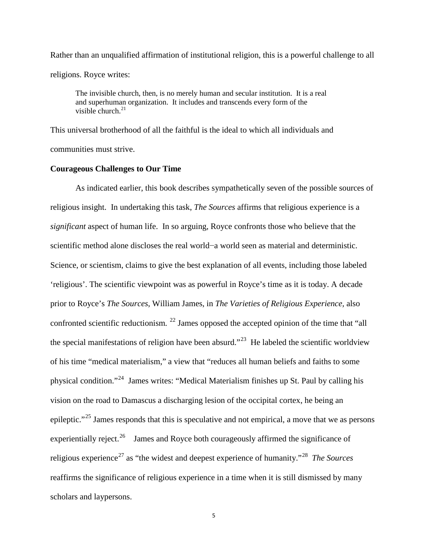Rather than an unqualified affirmation of institutional religion, this is a powerful challenge to all religions. Royce writes:

The invisible church, then, is no merely human and secular institution. It is a real and superhuman organization. It includes and transcends every form of the visible church. $^{21}$  $^{21}$  $^{21}$ 

This universal brotherhood of all the faithful is the ideal to which all individuals and communities must strive.

### **Courageous Challenges to Our Time**

As indicated earlier, this book describes sympathetically seven of the possible sources of religious insight. In undertaking this task, *The Sources* affirms that religious experience is a *significant* aspect of human life. In so arguing, Royce confronts those who believe that the scientific method alone discloses the real world−a world seen as material and deterministic. Science, or scientism, claims to give the best explanation of all events, including those labeled 'religious'. The scientific viewpoint was as powerful in Royce's time as it is today. A decade prior to Royce's *The Sources*, William James, in *The Varieties of Religious Experience,* also confronted scientific reductionism.<sup>[22](#page-22-9)</sup> James opposed the accepted opinion of the time that "all the special manifestations of religion have been absurd."<sup>23</sup> He labeled the scientific worldview of his time "medical materialism," a view that "reduces all human beliefs and faiths to some physical condition."[24](#page-22-11) James writes: "Medical Materialism finishes up St. Paul by calling his vision on the road to Damascus a discharging lesion of the occipital cortex, he being an epileptic."<sup>[25](#page-22-12)</sup> James responds that this is speculative and not empirical, a move that we as persons experientially reject.<sup>[26](#page-22-13)</sup> James and Royce both courageously affirmed the significance of religious experience[27](#page-22-14) as "the widest and deepest experience of humanity."[28](#page-22-15) *The Sources*  reaffirms the significance of religious experience in a time when it is still dismissed by many scholars and laypersons.

5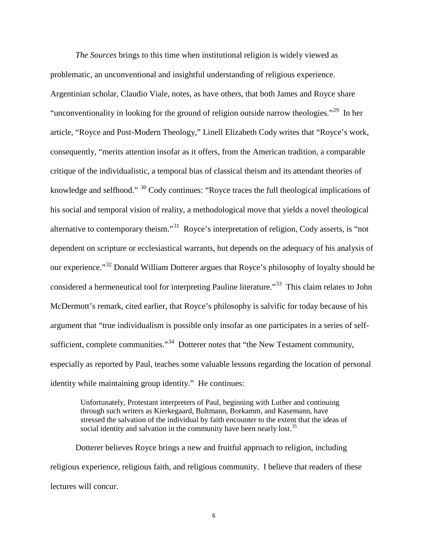*The Sources* brings to this time when institutional religion is widely viewed as problematic, an unconventional and insightful understanding of religious experience. Argentinian scholar, Claudio Viale, notes, as have others, that both James and Royce share "unconventionality in looking for the ground of religion outside narrow theologies."<sup>[29](#page-22-16)</sup> In her article, "Royce and Post-Modern Theology," Linell Elizabeth Cody writes that "Royce's work, consequently, "merits attention insofar as it offers, from the American tradition, a comparable critique of the individualistic, a temporal bias of classical theism and its attendant theories of knowledge and selfhood."  $30 \text{ Cody continues: }$  $30 \text{ Cody continues: }$ "Royce traces the full theological implications of his social and temporal vision of reality, a methodological move that yields a novel theological alternative to contemporary theism."[31](#page-22-18) Royce's interpretation of religion, Cody asserts, is "not dependent on scripture or ecclesiastical warrants, but depends on the adequacy of his analysis of our experience."[32](#page-22-19) Donald William Dotterer argues that Royce's philosophy of loyalty should be considered a hermeneutical tool for interpreting Pauline literature."<sup>[33](#page-22-20)</sup> This claim relates to John McDermott's remark, cited earlier, that Royce's philosophy is salvific for today because of his argument that "true individualism is possible only insofar as one participates in a series of self-sufficient, complete communities."<sup>[34](#page-22-4)</sup> Dotterer notes that "the New Testament community, especially as reported by Paul, teaches some valuable lessons regarding the location of personal identity while maintaining group identity." He continues:

Unfortunately, Protestant interpreters of Paul, beginning with Luther and continuing through such writers as Kierkegaard, Bultmann, Borkamm, and Kasemann, have stressed the salvation of the individual by faith encounter to the extent that the ideas of social identity and salvation in the community have been nearly lost.<sup>35</sup>

Dotterer believes Royce brings a new and fruitful approach to religion, including religious experience, religious faith, and religious community. I believe that readers of these lectures will concur.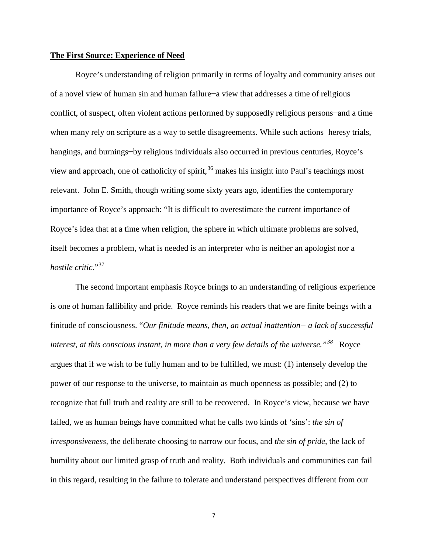### **The First Source: Experience of Need**

Royce's understanding of religion primarily in terms of loyalty and community arises out of a novel view of human sin and human failure−a view that addresses a time of religious conflict, of suspect, often violent actions performed by supposedly religious persons−and a time when many rely on scripture as a way to settle disagreements. While such actions−heresy trials, hangings, and burnings−by religious individuals also occurred in previous centuries, Royce's view and approach, one of catholicity of spirit,  $36$  makes his insight into Paul's teachings most relevant. John E. Smith, though writing some sixty years ago, identifies the contemporary importance of Royce's approach: "It is difficult to overestimate the current importance of Royce's idea that at a time when religion, the sphere in which ultimate problems are solved, itself becomes a problem, what is needed is an interpreter who is neither an apologist nor a *hostile critic*."[37](#page-22-22)

The second important emphasis Royce brings to an understanding of religious experience is one of human fallibility and pride. Royce reminds his readers that we are finite beings with a finitude of consciousness. "*Our finitude means, then, an actual inattention− a lack of successful interest, at this conscious instant, in more than a very few details of the universe."[38](#page-22-23)* Royce argues that if we wish to be fully human and to be fulfilled, we must: (1) intensely develop the power of our response to the universe, to maintain as much openness as possible; and (2) to recognize that full truth and reality are still to be recovered. In Royce's view, because we have failed, we as human beings have committed what he calls two kinds of 'sins': *the sin of irresponsiveness,* the deliberate choosing to narrow our focus, and *the sin of pride,* the lack of humility about our limited grasp of truth and reality. Both individuals and communities can fail in this regard, resulting in the failure to tolerate and understand perspectives different from our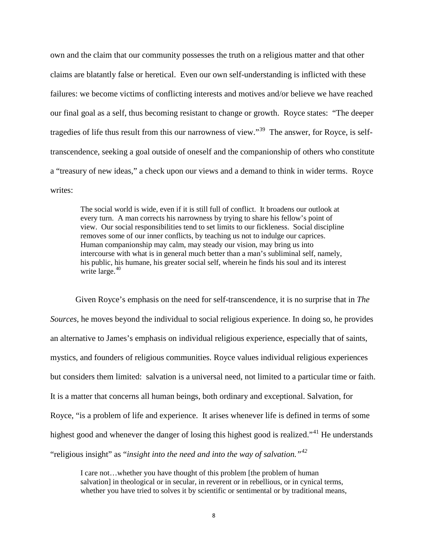own and the claim that our community possesses the truth on a religious matter and that other claims are blatantly false or heretical. Even our own self-understanding is inflicted with these failures: we become victims of conflicting interests and motives and/or believe we have reached our final goal as a self, thus becoming resistant to change or growth. Royce states: "The deeper tragedies of life thus result from this our narrowness of view."<sup>39</sup> The answer, for Royce, is selftranscendence, seeking a goal outside of oneself and the companionship of others who constitute a "treasury of new ideas," a check upon our views and a demand to think in wider terms. Royce writes:

The social world is wide, even if it is still full of conflict. It broadens our outlook at every turn. A man corrects his narrowness by trying to share his fellow's point of view. Our social responsibilities tend to set limits to our fickleness. Social discipline removes some of our inner conflicts, by teaching us not to indulge our caprices. Human companionship may calm, may steady our vision, may bring us into intercourse with what is in general much better than a man's subliminal self, namely, his public, his humane, his greater social self, wherein he finds his soul and its interest write large.<sup>[40](#page-22-25)</sup>

Given Royce's emphasis on the need for self-transcendence, it is no surprise that in *The Sources,* he moves beyond the individual to social religious experience. In doing so, he provides an alternative to James's emphasis on individual religious experience, especially that of saints, mystics, and founders of religious communities. Royce values individual religious experiences but considers them limited: salvation is a universal need, not limited to a particular time or faith. It is a matter that concerns all human beings, both ordinary and exceptional. Salvation, for Royce, "is a problem of life and experience. It arises whenever life is defined in terms of some highest good and whenever the danger of losing this highest good is realized."<sup>[41](#page-22-26)</sup> He understands "religious insight" as "*insight into the need and into the way of salvation."[42](#page-22-27)*

I care not…whether you have thought of this problem [the problem of human salvation] in theological or in secular, in reverent or in rebellious, or in cynical terms, whether you have tried to solves it by scientific or sentimental or by traditional means,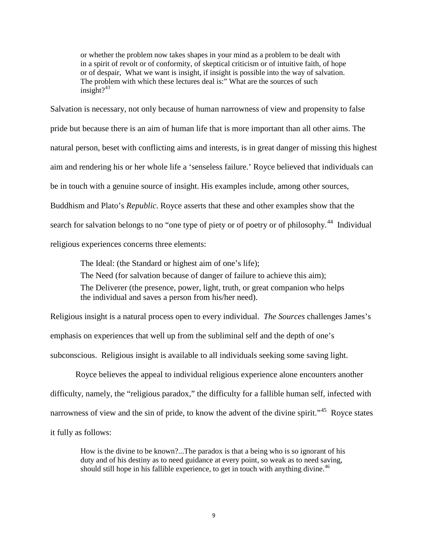or whether the problem now takes shapes in your mind as a problem to be dealt with in a spirit of revolt or of conformity, of skeptical criticism or of intuitive faith, of hope or of despair, What we want is insight, if insight is possible into the way of salvation. The problem with which these lectures deal is:" What are the sources of such insight $?^{43}$  $?^{43}$  $?^{43}$ 

Salvation is necessary, not only because of human narrowness of view and propensity to false pride but because there is an aim of human life that is more important than all other aims. The natural person, beset with conflicting aims and interests, is in great danger of missing this highest aim and rendering his or her whole life a 'senseless failure.' Royce believed that individuals can be in touch with a genuine source of insight. His examples include, among other sources, Buddhism and Plato's *Republic*. Royce asserts that these and other examples show that the search for salvation belongs to no "one type of piety or of poetry or of philosophy.<sup>44</sup> Individual religious experiences concerns three elements:

The Ideal: (the Standard or highest aim of one's life); The Need (for salvation because of danger of failure to achieve this aim); The Deliverer (the presence, power, light, truth, or great companion who helps the individual and saves a person from his/her need).

Religious insight is a natural process open to every individual. *The Sources* challenges James's emphasis on experiences that well up from the subliminal self and the depth of one's subconscious. Religious insight is available to all individuals seeking some saving light.

Royce believes the appeal to individual religious experience alone encounters another difficulty, namely, the "religious paradox," the difficulty for a fallible human self, infected with narrowness of view and the sin of pride, to know the advent of the divine spirit."<sup>[45](#page-22-30)</sup> Royce states it fully as follows:

How is the divine to be known?...The paradox is that a being who is so ignorant of his duty and of his destiny as to need guidance at every point, so weak as to need saving, should still hope in his fallible experience, to get in touch with anything divine.<sup> $46$ </sup>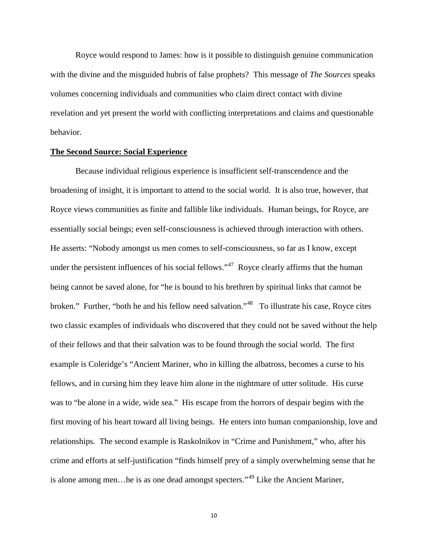Royce would respond to James: how is it possible to distinguish genuine communication with the divine and the misguided hubris of false prophets? This message of *The Sources* speaks volumes concerning individuals and communities who claim direct contact with divine revelation and yet present the world with conflicting interpretations and claims and questionable behavior.

#### **The Second Source: Social Experience**

Because individual religious experience is insufficient self-transcendence and the broadening of insight, it is important to attend to the social world. It is also true, however, that Royce views communities as finite and fallible like individuals. Human beings, for Royce, are essentially social beings; even self-consciousness is achieved through interaction with others. He asserts: "Nobody amongst us men comes to self-consciousness, so far as I know, except under the persistent influences of his social fellows."<sup>47</sup> Royce clearly affirms that the human being cannot be saved alone, for "he is bound to his brethren by spiritual links that cannot be broken." Further, "both he and his fellow need salvation."[48](#page-22-33) To illustrate his case, Royce cites two classic examples of individuals who discovered that they could not be saved without the help of their fellows and that their salvation was to be found through the social world. The first example is Coleridge's "Ancient Mariner, who in killing the albatross, becomes a curse to his fellows, and in cursing him they leave him alone in the nightmare of utter solitude. His curse was to "be alone in a wide, wide sea." His escape from the horrors of despair begins with the first moving of his heart toward all living beings. He enters into human companionship, love and relationships. The second example is Raskolnikov in "Crime and Punishment," who, after his crime and efforts at self-justification "finds himself prey of a simply overwhelming sense that he is alone among men…he is as one dead amongst specters."[49](#page-22-34) Like the Ancient Mariner,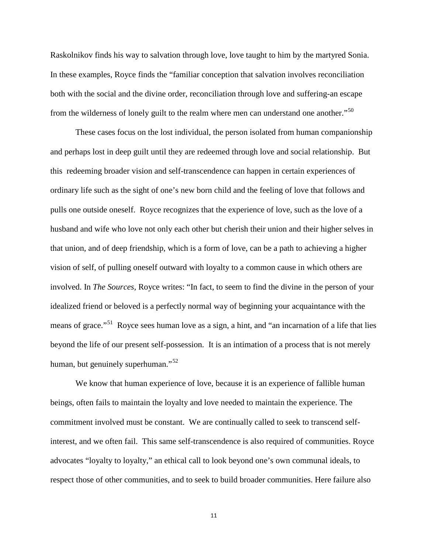Raskolnikov finds his way to salvation through love, love taught to him by the martyred Sonia. In these examples, Royce finds the "familiar conception that salvation involves reconciliation both with the social and the divine order, reconciliation through love and suffering-an escape from the wilderness of lonely guilt to the realm where men can understand one another."<sup>[50](#page-22-35)</sup>

These cases focus on the lost individual, the person isolated from human companionship and perhaps lost in deep guilt until they are redeemed through love and social relationship. But this redeeming broader vision and self-transcendence can happen in certain experiences of ordinary life such as the sight of one's new born child and the feeling of love that follows and pulls one outside oneself. Royce recognizes that the experience of love, such as the love of a husband and wife who love not only each other but cherish their union and their higher selves in that union, and of deep friendship, which is a form of love, can be a path to achieving a higher vision of self, of pulling oneself outward with loyalty to a common cause in which others are involved. In *The Sources,* Royce writes: "In fact, to seem to find the divine in the person of your idealized friend or beloved is a perfectly normal way of beginning your acquaintance with the means of grace."<sup>51</sup> Royce sees human love as a sign, a hint, and "an incarnation of a life that lies beyond the life of our present self-possession. It is an intimation of a process that is not merely human, but genuinely superhuman."<sup>[52](#page-22-37)</sup>

We know that human experience of love, because it is an experience of fallible human beings, often fails to maintain the loyalty and love needed to maintain the experience. The commitment involved must be constant. We are continually called to seek to transcend selfinterest, and we often fail. This same self-transcendence is also required of communities. Royce advocates "loyalty to loyalty," an ethical call to look beyond one's own communal ideals, to respect those of other communities, and to seek to build broader communities. Here failure also

11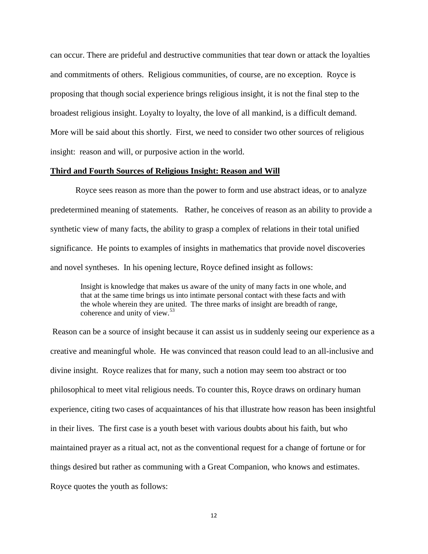can occur. There are prideful and destructive communities that tear down or attack the loyalties and commitments of others. Religious communities, of course, are no exception. Royce is proposing that though social experience brings religious insight, it is not the final step to the broadest religious insight. Loyalty to loyalty, the love of all mankind, is a difficult demand. More will be said about this shortly. First, we need to consider two other sources of religious insight: reason and will, or purposive action in the world.

### **Third and Fourth Sources of Religious Insight: Reason and Will**

Royce sees reason as more than the power to form and use abstract ideas, or to analyze predetermined meaning of statements. Rather, he conceives of reason as an ability to provide a synthetic view of many facts, the ability to grasp a complex of relations in their total unified significance. He points to examples of insights in mathematics that provide novel discoveries and novel syntheses. In his opening lecture, Royce defined insight as follows:

Insight is knowledge that makes us aware of the unity of many facts in one whole, and that at the same time brings us into intimate personal contact with these facts and with the whole wherein they are united. The three marks of insight are breadth of range, coherence and unity of view.<sup>[53](#page-22-4)</sup>

Reason can be a source of insight because it can assist us in suddenly seeing our experience as a creative and meaningful whole. He was convinced that reason could lead to an all-inclusive and divine insight. Royce realizes that for many, such a notion may seem too abstract or too philosophical to meet vital religious needs. To counter this, Royce draws on ordinary human experience, citing two cases of acquaintances of his that illustrate how reason has been insightful in their lives. The first case is a youth beset with various doubts about his faith, but who maintained prayer as a ritual act, not as the conventional request for a change of fortune or for things desired but rather as communing with a Great Companion, who knows and estimates. Royce quotes the youth as follows: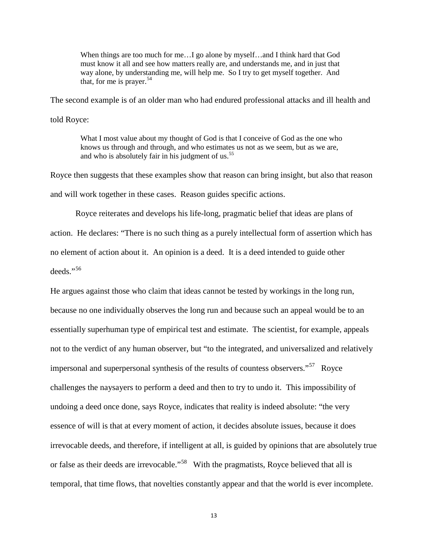When things are too much for me... I go alone by myself...and I think hard that God must know it all and see how matters really are, and understands me, and in just that way alone, by understanding me, will help me. So I try to get myself together. And that, for me is prayer. $54$ 

The second example is of an older man who had endured professional attacks and ill health and

told Royce:

What I most value about my thought of God is that I conceive of God as the one who knows us through and through, and who estimates us not as we seem, but as we are, and who is absolutely fair in his judgment of us.<sup>[55](#page-22-39)</sup>

Royce then suggests that these examples show that reason can bring insight, but also that reason and will work together in these cases. Reason guides specific actions.

Royce reiterates and develops his life-long, pragmatic belief that ideas are plans of action. He declares: "There is no such thing as a purely intellectual form of assertion which has no element of action about it. An opinion is a deed. It is a deed intended to guide other deeds."[56](#page-22-40)

He argues against those who claim that ideas cannot be tested by workings in the long run, because no one individually observes the long run and because such an appeal would be to an essentially superhuman type of empirical test and estimate. The scientist, for example, appeals not to the verdict of any human observer, but "to the integrated, and universalized and relatively impersonal and superpersonal synthesis of the results of countess observers."<sup>57</sup> Royce challenges the naysayers to perform a deed and then to try to undo it. This impossibility of undoing a deed once done, says Royce, indicates that reality is indeed absolute: "the very essence of will is that at every moment of action, it decides absolute issues, because it does irrevocable deeds, and therefore, if intelligent at all, is guided by opinions that are absolutely true or false as their deeds are irrevocable."<sup>[58](#page-22-41)</sup> With the pragmatists, Royce believed that all is temporal, that time flows, that novelties constantly appear and that the world is ever incomplete.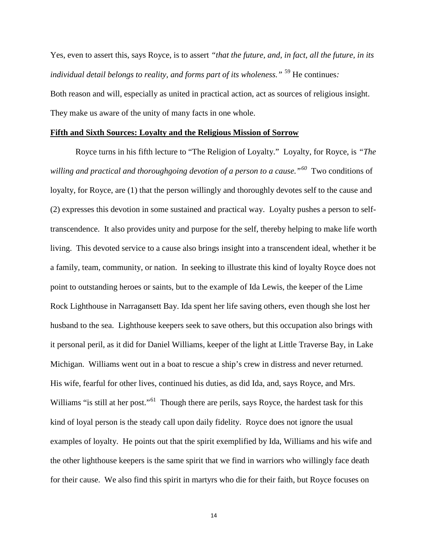Yes, even to assert this, says Royce, is to assert *"that the future, and, in fact, all the future, in its individual detail belongs to reality, and forms part of its wholeness."* [59](#page-22-23) He continues*:*  Both reason and will, especially as united in practical action, act as sources of religious insight. They make us aware of the unity of many facts in one whole.

#### **Fifth and Sixth Sources: Loyalty and the Religious Mission of Sorrow**

Royce turns in his fifth lecture to "The Religion of Loyalty." Loyalty, for Royce, is *"The willing and practical and thoroughgoing devotion of a person to a cause."[60](#page-22-24)* Two conditions of loyalty, for Royce, are (1) that the person willingly and thoroughly devotes self to the cause and (2) expresses this devotion in some sustained and practical way. Loyalty pushes a person to selftranscendence. It also provides unity and purpose for the self, thereby helping to make life worth living. This devoted service to a cause also brings insight into a transcendent ideal, whether it be a family, team, community, or nation. In seeking to illustrate this kind of loyalty Royce does not point to outstanding heroes or saints, but to the example of Ida Lewis, the keeper of the Lime Rock Lighthouse in Narragansett Bay. Ida spent her life saving others, even though she lost her husband to the sea. Lighthouse keepers seek to save others, but this occupation also brings with it personal peril, as it did for Daniel Williams, keeper of the light at Little Traverse Bay, in Lake Michigan. Williams went out in a boat to rescue a ship's crew in distress and never returned. His wife, fearful for other lives, continued his duties, as did Ida, and, says Royce, and Mrs. Williams "is still at her post."<sup>[61](#page-22-25)</sup> Though there are perils, says Royce, the hardest task for this kind of loyal person is the steady call upon daily fidelity. Royce does not ignore the usual examples of loyalty. He points out that the spirit exemplified by Ida, Williams and his wife and the other lighthouse keepers is the same spirit that we find in warriors who willingly face death for their cause. We also find this spirit in martyrs who die for their faith, but Royce focuses on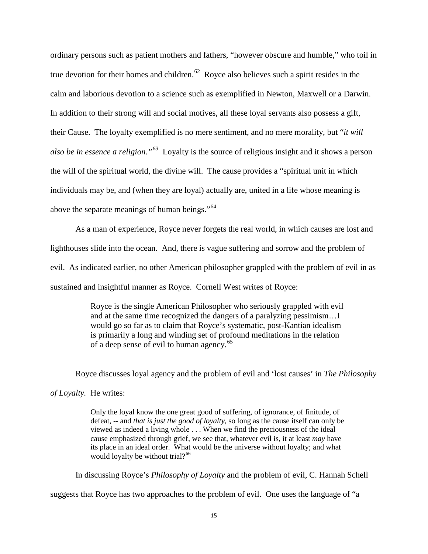ordinary persons such as patient mothers and fathers, "however obscure and humble," who toil in true devotion for their homes and children.<sup>[62](#page-22-26)</sup> Royce also believes such a spirit resides in the calm and laborious devotion to a science such as exemplified in Newton, Maxwell or a Darwin. In addition to their strong will and social motives, all these loyal servants also possess a gift, their Cause. The loyalty exemplified is no mere sentiment, and no mere morality, but "*it will also be in essence a religion."[63](#page-22-42)* Loyalty is the source of religious insight and it shows a person the will of the spiritual world, the divine will. The cause provides a "spiritual unit in which individuals may be, and (when they are loyal) actually are, united in a life whose meaning is above the separate meanings of human beings."[64](#page-22-43)

As a man of experience, Royce never forgets the real world, in which causes are lost and lighthouses slide into the ocean. And, there is vague suffering and sorrow and the problem of evil. As indicated earlier, no other American philosopher grappled with the problem of evil in as sustained and insightful manner as Royce. Cornell West writes of Royce:

> Royce is the single American Philosopher who seriously grappled with evil and at the same time recognized the dangers of a paralyzing pessimism…I would go so far as to claim that Royce's systematic, post-Kantian idealism is primarily a long and winding set of profound meditations in the relation of a deep sense of evil to human agency.<sup>[65](#page-22-28)</sup>

Royce discusses loyal agency and the problem of evil and 'lost causes' in *The Philosophy* 

#### *of Loyalty.* He writes:

Only the loyal know the one great good of suffering, of ignorance, of finitude, of defeat, -- and *that is just the good of loyalty,* so long as the cause itself can only be viewed as indeed a living whole . . . When we find the preciousness of the ideal cause emphasized through grief, we see that, whatever evil is, it at least *may* have its place in an ideal order. What would be the universe without loyalty; and what would loyalty be without trial?<sup>[66](#page-22-44)</sup>

In discussing Royce's *Philosophy of Loyalty* and the problem of evil, C. Hannah Schell suggests that Royce has two approaches to the problem of evil. One uses the language of "a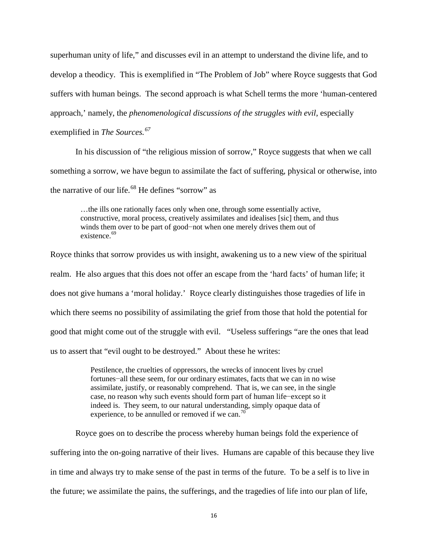superhuman unity of life," and discusses evil in an attempt to understand the divine life, and to develop a theodicy. This is exemplified in "The Problem of Job" where Royce suggests that God suffers with human beings. The second approach is what Schell terms the more 'human-centered approach,' namely, the *phenomenological discussions of the struggles with evil*, especially exemplified in *The Sources.[67](#page-22-45)*

In his discussion of "the religious mission of sorrow," Royce suggests that when we call something a sorrow, we have begun to assimilate the fact of suffering, physical or otherwise, into the narrative of our life.<sup>[68](#page-22-30)</sup> He defines "sorrow" as

…the ills one rationally faces only when one, through some essentially active, constructive, moral process, creatively assimilates and idealises [sic] them, and thus winds them over to be part of good−not when one merely drives them out of existence.<sup>[69](#page-22-46)</sup>

Royce thinks that sorrow provides us with insight, awakening us to a new view of the spiritual realm. He also argues that this does not offer an escape from the 'hard facts' of human life; it does not give humans a 'moral holiday.' Royce clearly distinguishes those tragedies of life in which there seems no possibility of assimilating the grief from those that hold the potential for good that might come out of the struggle with evil. "Useless sufferings "are the ones that lead us to assert that "evil ought to be destroyed." About these he writes:

> Pestilence, the cruelties of oppressors, the wrecks of innocent lives by cruel fortunes−all these seem, for our ordinary estimates, facts that we can in no wise assimilate, justify, or reasonably comprehend. That is, we can see, in the single case, no reason why such events should form part of human life−except so it indeed is. They seem, to our natural understanding, simply opaque data of experience, to be annulled or removed if we can.<sup>[70](#page-22-47)</sup>

Royce goes on to describe the process whereby human beings fold the experience of suffering into the on-going narrative of their lives. Humans are capable of this because they live in time and always try to make sense of the past in terms of the future. To be a self is to live in the future; we assimilate the pains, the sufferings, and the tragedies of life into our plan of life,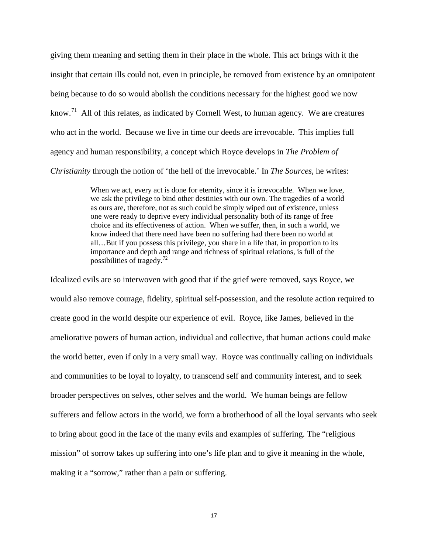giving them meaning and setting them in their place in the whole. This act brings with it the insight that certain ills could not, even in principle, be removed from existence by an omnipotent being because to do so would abolish the conditions necessary for the highest good we now know.<sup>[71](#page-22-48)</sup> All of this relates, as indicated by Cornell West, to human agency. We are creatures who act in the world. Because we live in time our deeds are irrevocable. This implies full agency and human responsibility, a concept which Royce develops in *The Problem of Christianity* through the notion of 'the hell of the irrevocable.' In *The Sources,* he writes:

> When we act, every act is done for eternity, since it is irrevocable. When we love, we ask the privilege to bind other destinies with our own. The tragedies of a world as ours are, therefore, not as such could be simply wiped out of existence, unless one were ready to deprive every individual personality both of its range of free choice and its effectiveness of action. When we suffer, then, in such a world, we know indeed that there need have been no suffering had there been no world at all…But if you possess this privilege, you share in a life that, in proportion to its importance and depth and range and richness of spiritual relations, is full of the possibilities of tragedy.[72](#page-22-49)

Idealized evils are so interwoven with good that if the grief were removed, says Royce, we would also remove courage, fidelity, spiritual self-possession, and the resolute action required to create good in the world despite our experience of evil. Royce, like James, believed in the ameliorative powers of human action, individual and collective, that human actions could make the world better, even if only in a very small way. Royce was continually calling on individuals and communities to be loyal to loyalty, to transcend self and community interest, and to seek broader perspectives on selves, other selves and the world. We human beings are fellow sufferers and fellow actors in the world, we form a brotherhood of all the loyal servants who seek to bring about good in the face of the many evils and examples of suffering. The "religious mission" of sorrow takes up suffering into one's life plan and to give it meaning in the whole, making it a "sorrow," rather than a pain or suffering.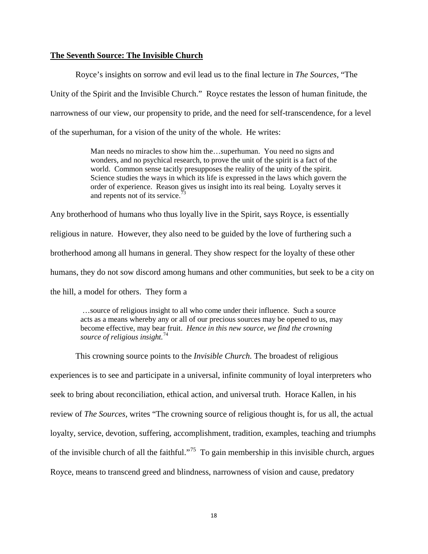### **The Seventh Source: The Invisible Church**

Royce's insights on sorrow and evil lead us to the final lecture in *The Sources,* "The Unity of the Spirit and the Invisible Church." Royce restates the lesson of human finitude, the narrowness of our view, our propensity to pride, and the need for self-transcendence, for a level of the superhuman, for a vision of the unity of the whole. He writes:

> Man needs no miracles to show him the…superhuman. You need no signs and wonders, and no psychical research, to prove the unit of the spirit is a fact of the world. Common sense tacitly presupposes the reality of the unity of the spirit. Science studies the ways in which its life is expressed in the laws which govern the order of experience. Reason gives us insight into its real being. Loyalty serves it and repents not of its service.<sup>[73](#page-22-33)</sup>

Any brotherhood of humans who thus loyally live in the Spirit, says Royce, is essentially religious in nature. However, they also need to be guided by the love of furthering such a brotherhood among all humans in general. They show respect for the loyalty of these other humans, they do not sow discord among humans and other communities, but seek to be a city on the hill, a model for others. They form a

…source of religious insight to all who come under their influence. Such a source acts as a means whereby any or all of our precious sources may be opened to us, may become effective, may bear fruit. *Hence in this new source, we find the crowning source of religious insight.*[74](#page-22-34)

This crowning source points to the *Invisible Church.* The broadest of religious experiences is to see and participate in a universal, infinite community of loyal interpreters who seek to bring about reconciliation, ethical action, and universal truth. Horace Kallen, in his review of *The Sources,* writes "The crowning source of religious thought is, for us all, the actual loyalty, service, devotion, suffering, accomplishment, tradition, examples, teaching and triumphs of the invisible church of all the faithful."<sup>75</sup> To gain membership in this invisible church, argues Royce, means to transcend greed and blindness, narrowness of vision and cause, predatory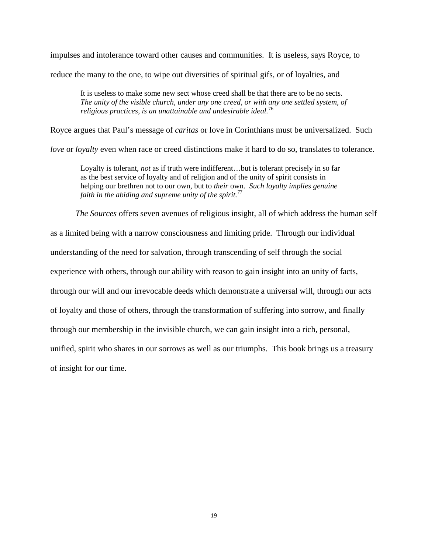impulses and intolerance toward other causes and communities. It is useless, says Royce, to

reduce the many to the one, to wipe out diversities of spiritual gifs, or of loyalties, and

It is useless to make some new sect whose creed shall be that there are to be no sects. *The unity of the visible church, under any one creed, or with any one settled system, of religious practices, is an unattainable and undesirable ideal.*[76](#page-22-50)

Royce argues that Paul's message of *caritas* or love in Corinthians must be universalized. Such

*love* or *loyalty* even when race or creed distinctions make it hard to do so, translates to tolerance.

Loyalty is tolerant, *not* as if truth were indifferent...but is tolerant precisely in so far as the best service of loyalty and of religion and of the unity of spirit consists in helping our brethren not to our own, but to *their* own. *Such loyalty implies genuine faith in the abiding and supreme unity of the spirit.*[77](#page-22-51)

*The Sources* offers seven avenues of religious insight, all of which address the human self

as a limited being with a narrow consciousness and limiting pride. Through our individual

understanding of the need for salvation, through transcending of self through the social

experience with others, through our ability with reason to gain insight into an unity of facts,

through our will and our irrevocable deeds which demonstrate a universal will, through our acts

of loyalty and those of others, through the transformation of suffering into sorrow, and finally

through our membership in the invisible church, we can gain insight into a rich, personal,

unified, spirit who shares in our sorrows as well as our triumphs. This book brings us a treasury

of insight for our time.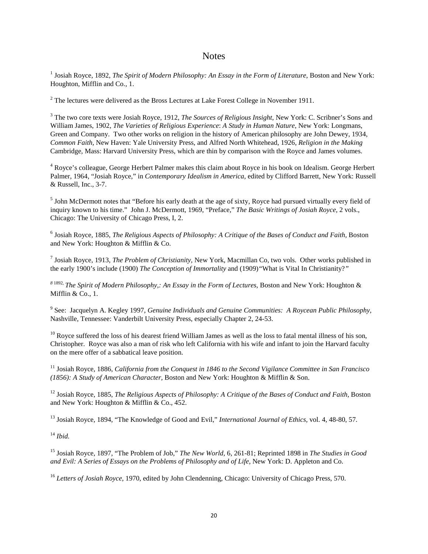## **Notes**

<sup>1</sup> Josiah Royce, 1892, *The Spirit of Modern Philosophy: An Essay in the Form of Literature*, Boston and New York: Houghton, Mifflin and Co., 1.

 $2$ <sup>2</sup> The lectures were delivered as the Bross Lectures at Lake Forest College in November 1911.

<sup>3</sup> The two core texts were Josiah Royce, 1912, *The Sources of Religious Insight*, New York: C. Scribner's Sons and William James, 1902, *The Varieties of Religious Experience*: *A Study in Human Nature*, New York: Longmans, Green and Company. Two other works on religion in the history of American philosophy are John Dewey, 1934, *Common Faith,* New Haven: Yale University Press, and Alfred North Whitehead, 1926, *Religion in the Making* Cambridge, Mass: Harvard University Press, which are thin by comparison with the Royce and James volumes.

<sup>4</sup> Royce's colleague, George Herbert Palmer makes this claim about Royce in his book on Idealism. George Herbert Palmer, 1964, "Josiah Royce," in *Contemporary Idealism in America,* edited by Clifford Barrett, New York: Russell & Russell, Inc., 3-7.

 $<sup>5</sup>$  John McDermott notes that "Before his early death at the age of sixty. Royce had pursued virtually every field of</sup> inquiry known to his time." John J. McDermott, 1969, "Preface," *The Basic Writings of Josiah Royce,* 2 vols., Chicago: The University of Chicago Press, I, 2.

<sup>6</sup> Josiah Royce, 1885, *The Religious Aspects of Philosophy: A Critique of the Bases of Conduct and Faith,* Boston and New York: Houghton & Mifflin & Co.

<sup>7</sup> Josiah Royce, 1913, *The Problem of Christianity,* New York, Macmillan Co, two vols. Other works published in the early 1900's include (1900) *The Conception of Immortality* and (1909)*"*What is Vital In Christianity?*"*

*<sup>8</sup>*1892, *The Spirit of Modern Philosophy,: An Essay in the Form of Lectures,* Boston and New York: Houghton & Mifflin & Co., 1.

<sup>9</sup> See: Jacquelyn A. Kegley 1997, *Genuine Individuals and Genuine Communities: A Roycean Public Philosophy,* Nashville, Tennessee: Vanderbilt University Press, especially Chapter 2, 24-53.

 $10$  Royce suffered the loss of his dearest friend William James as well as the loss to fatal mental illness of his son, Christopher. Royce was also a man of risk who left California with his wife and infant to join the Harvard faculty on the mere offer of a sabbatical leave position.

<sup>11</sup> Josiah Royce, 1886, *California from the Conquest in 1846 to the Second Vigilance Committee in San Francisco (1856): A Study of American Character,* Boston and New York: Houghton & Mifflin & Son.

<sup>12</sup> Josiah Royce, 1885, *The Religious Aspects of Philosophy: A Critique of the Bases of Conduct and Faith, Boston* and New York: Houghton & Mifflin & Co., 452.

<sup>13</sup> Josiah Royce, 1894, "The Knowledge of Good and Evil," *International Journal of Ethics,* vol. 4, 48-80, 57.

<sup>14</sup> *Ibid.*

<sup>15</sup> Josiah Royce, 1897, "The Problem of Job," *The New World,* 6, 261-81; Reprinted 1898 in *The Studies in Good*  and Evil: A Series of Essays on the Problems of Philosophy and of Life, New York: D. Appleton and Co.

<sup>16</sup> *Letters of Josiah Royce,* 1970, edited by John Clendenning, Chicago: University of Chicago Press, 570.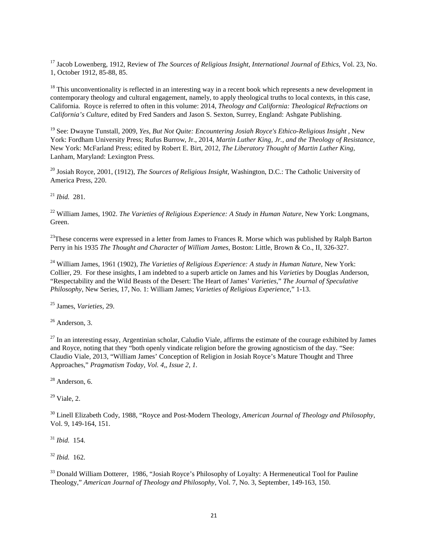<span id="page-20-0"></span><sup>17</sup> Jacob Lowenberg, 1912, Review of *The Sources of Religious Insight, International Journal of Ethics,* Vol. 23, No. 1, October 1912, 85-88, 85.

<span id="page-20-1"></span> $18$  This unconventionality is reflected in an interesting way in a recent book which represents a new development in contemporary theology and cultural engagement, namely, to apply theological truths to local contexts, in this case, California. Royce is referred to often in this volume: 2014, *Theology and California: Theological Refractions on California's Culture,* edited by Fred Sanders and Jason S. Sexton, Surrey, England: Ashgate Publishing.

<span id="page-20-2"></span><sup>19</sup> See: Dwayne Tunstall, 2009, *Yes, But Not Quite: Encountering Josiah Royce's Ethico-Religious Insight* , New York: Fordham University Press; Rufus Burrow, Jr., 2014, *Martin Luther King, Jr., and the Theology of Resistance,*  New York: McFarland Press; edited by Robert E. Birt, 2012, *The Liberatory Thought of Martin Luther King,*  Lanham, Maryland: Lexington Press.

<span id="page-20-3"></span><sup>20</sup> Josiah Royce, 2001, (1912), *The Sources of Religious Insight,* Washington, D.C.: The Catholic University of America Press, 220.

<span id="page-20-4"></span><sup>21</sup> *Ibid.* 281.

<sup>22</sup> William James, 1902. *The Varieties of Religious Experience: A Study in Human Nature*, New York: Longmans, Green.

<span id="page-20-5"></span><sup>23</sup>These concerns were expressed in a letter from James to Frances R. Morse which was published by Ralph Barton Perry in his 1935 *The Thought and Character of William James,* Boston: Little, Brown & Co., II, 326-327.

<span id="page-20-6"></span><sup>24</sup> William James, 1961 (1902), *The Varieties of Religious Experience: A study in Human Nature*, New York: Collier, 29. For these insights, I am indebted to a superb article on James and his *Varieties* by Douglas Anderson, "Respectability and the Wild Beasts of the Desert: The Heart of James' *Varieties*," *The Journal of Speculative Philosophy*, New Series, 17, No. 1: William James; *Varieties of Religious Experience*," 1-13.

<span id="page-20-7"></span><sup>25</sup> James, *Varieties,* 29.

 $26$  Anderson, 3.

 $^{27}$  In an interesting essay, Argentinian scholar, Caludio Viale, affirms the estimate of the courage exhibited by James and Royce, noting that they "both openly vindicate religion before the growing agnosticism of the day. "See: Claudio Viale, 2013, "William James' Conception of Religion in Josiah Royce's Mature Thought and Three Approaches," *Pragmatism Today, Vol. 4,, Issue 2, 1.*

<sup>28</sup> Anderson, 6.

 $29$  Viale, 2.

<sup>30</sup> Linell Elizabeth Cody, 1988, "Royce and Post-Modern Theology, *American Journal of Theology and Philosophy,*  Vol. 9, 149-164, 151.

<sup>31</sup> *Ibid.* 154.

<sup>32</sup> *Ibid.* 162.

<sup>33</sup> Donald William Dotterer, 1986, "Josiah Royce's Philosophy of Loyalty: A Hermeneutical Tool for Pauline Theology," *American Journal of Theology and Philosophy,* Vol. 7, No. 3, September, 149-163, 150.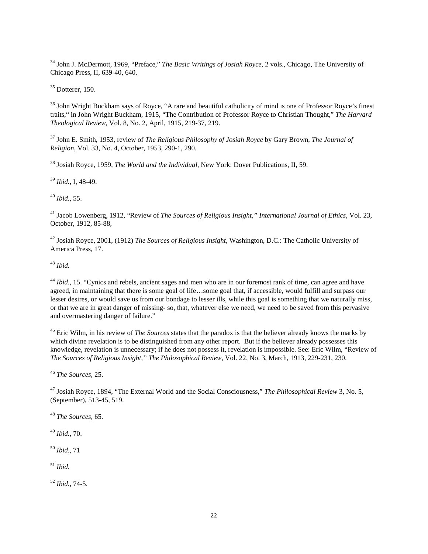<sup>34</sup> John J. McDermott, 1969, "Preface," *The Basic Writings of Josiah Royce,* 2 vols., Chicago, The University of Chicago Press, II, 639-40, 640.

 $35$  Dotterer, 150.

<sup>36</sup> John Wright Buckham says of Royce, "A rare and beautiful catholicity of mind is one of Professor Royce's finest traits," in John Wright Buckham, 1915, "The Contribution of Professor Royce to Christian Thought," *The Harvard Theological Review,* Vol. 8, No. 2, April, 1915, 219-37, 219.

<sup>37</sup> John E. Smith, 1953, review of *The Religious Philosophy of Josiah Royce* by Gary Brown, *The Journal of Religion,* Vol. 33, No. 4, October, 1953, 290-1, 290.

<sup>38</sup> Josiah Royce, 1959, *The World and the Individual,* New York: Dover Publications, II, 59.

<sup>39</sup> *Ibid.*, I, 48-49.

<sup>40</sup> *Ibid.,* 55.

<sup>41</sup> Jacob Lowenberg, 1912, "Review of *The Sources of Religious Insight," International Journal of Ethics,* Vol. 23, October, 1912, 85-88,

<sup>42</sup> Josiah Royce, 2001, (1912) *The Sources of Religious Insight,* Washington, D.C.: The Catholic University of America Press, 17.

<sup>43</sup> *Ibid.*

<sup>44</sup> *Ibid.,* 15. "Cynics and rebels, ancient sages and men who are in our foremost rank of time, can agree and have agreed, in maintaining that there is some goal of life…some goal that, if accessible, would fulfill and surpass our lesser desires, or would save us from our bondage to lesser ills, while this goal is something that we naturally miss, or that we are in great danger of missing- so, that, whatever else we need, we need to be saved from this pervasive and overmastering danger of failure."

<span id="page-21-1"></span><span id="page-21-0"></span><sup>45</sup> Eric Wilm, in his review of *The Sources* states that the paradox is that the believer already knows the marks by which divine revelation is to be distinguished from any other report. But if the believer already possesses this knowledge, revelation is unnecessary; if he does not possess it, revelation is impossible. See: Eric Wilm, "Review of *The Sources of Religious Insight," The Philosophical Review*, Vol. 22, No. 3, March, 1913, 229-231, 230.

<span id="page-21-2"></span><sup>46</sup> *The Sources,* 25.

<span id="page-21-3"></span><sup>47</sup> Josiah Royce, 1894, "The External World and the Social Consciousness," *The Philosophical Review* 3, No. 5, (September), 513-45, 519.

<sup>48</sup> *The Sources,* 65.

<sup>49</sup> *Ibid.,* 70.

<sup>50</sup> *Ibid.,* 71

<sup>51</sup> *Ibid.*

<sup>52</sup> *Ibid.,* 74-5.